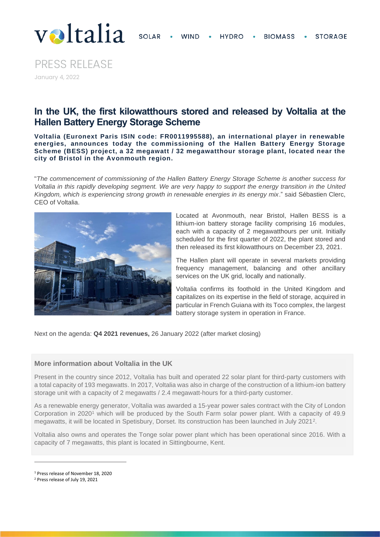

PRESS RELEASE January 4, 2022

## **In the UK, the first kilowatthours stored and released by Voltalia at the Hallen Battery Energy Storage Scheme**

**Voltalia (Euronext Paris ISIN code: FR0011995588), an international player in renewable energies, announces today the commissioning of the Hallen Battery Energy Storage Scheme (BESS) project, a 32 megawatt / 32 megawatthour storage plant, located near the city of Bristol in the Avonmouth region.**

"*The commencement of commissioning of the Hallen Battery Energy Storage Scheme is another success for Voltalia in this rapidly developing segment. We are very happy to support the energy transition in the United Kingdom, which is experiencing strong growth in renewable energies in its energy mix*." said Sébastien Clerc, CEO of Voltalia.



Located at Avonmouth, near Bristol, Hallen BESS is a lithium-ion battery storage facility comprising 16 modules, each with a capacity of 2 megawatthours per unit. Initially scheduled for the first quarter of 2022, the plant stored and then released its first kilowatthours on December 23, 2021.

The Hallen plant will operate in several markets providing frequency management, balancing and other ancillary services on the UK grid, locally and nationally.

Voltalia confirms its foothold in the United Kingdom and capitalizes on its expertise in the field of storage, acquired in particular in French Guiana with its Toco complex, the largest battery storage system in operation in France.

Next on the agenda: **Q4 2021 revenues,** 26 January 2022 (after market closing)

## **More information about Voltalia in the UK**

Present in the country since 2012, Voltalia has built and operated 22 solar plant for third-party customers with a total capacity of 193 megawatts. In 2017, Voltalia was also in charge of the construction of a lithium-ion battery storage unit with a capacity of 2 megawatts / 2.4 megawatt-hours for a third-party customer.

As a renewable energy generator, Voltalia was awarded a 15-year power sales contract with the City of London Corporation in 2020<sup>1</sup> which will be produced by the South Farm solar power plant. With a capacity of 49.9 megawatts, it will be located in Spetisbury, Dorset. Its construction has been launched in July 2021<sup>2</sup> .

Voltalia also owns and operates the Tonge solar power plant which has been operational since 2016. With a capacity of 7 megawatts, this plant is located in Sittingbourne, Kent.

<sup>1</sup> Press release of November 18, 2020

<sup>2</sup> Press release of July 19, 2021